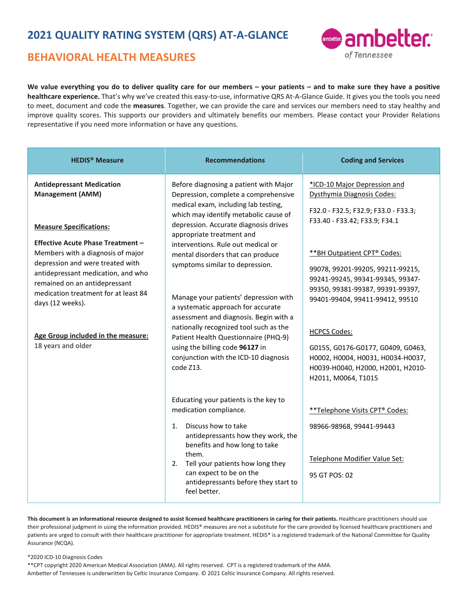## **BEHAVIORAL HEALTH MEASURES**



**We value everything you do to deliver quality care for our members – your patients – and to make sure they have a positive healthcare experience.** That's why we've created this easy-to-use, informative QRS At-A-Glance Guide. It gives you the tools you need to meet, document and code the **measures**. Together, we can provide the care and services our members need to stay healthy and improve quality scores. This supports our providers and ultimately benefits our members. Please contact your Provider Relations representative if you need more information or have any questions.

| <b>HEDIS<sup>®</sup></b> Measure                                                                                                                                                                                                                                                                                                                                                                                  | <b>Recommendations</b>                                                                                                                                                                                                                                                                                                                                                                                                                                                                                                                                                                                                                                  | <b>Coding and Services</b>                                                                                                                                                                                                                                                                                                                                                                                                                                                      |
|-------------------------------------------------------------------------------------------------------------------------------------------------------------------------------------------------------------------------------------------------------------------------------------------------------------------------------------------------------------------------------------------------------------------|---------------------------------------------------------------------------------------------------------------------------------------------------------------------------------------------------------------------------------------------------------------------------------------------------------------------------------------------------------------------------------------------------------------------------------------------------------------------------------------------------------------------------------------------------------------------------------------------------------------------------------------------------------|---------------------------------------------------------------------------------------------------------------------------------------------------------------------------------------------------------------------------------------------------------------------------------------------------------------------------------------------------------------------------------------------------------------------------------------------------------------------------------|
| <b>Antidepressant Medication</b><br><b>Management (AMM)</b><br><b>Measure Specifications:</b><br><b>Effective Acute Phase Treatment -</b><br>Members with a diagnosis of major<br>depression and were treated with<br>antidepressant medication, and who<br>remained on an antidepressant<br>medication treatment for at least 84<br>days (12 weeks).<br>Age Group included in the measure:<br>18 years and older | Before diagnosing a patient with Major<br>Depression, complete a comprehensive<br>medical exam, including lab testing,<br>which may identify metabolic cause of<br>depression. Accurate diagnosis drives<br>appropriate treatment and<br>interventions. Rule out medical or<br>mental disorders that can produce<br>symptoms similar to depression.<br>Manage your patients' depression with<br>a systematic approach for accurate<br>assessment and diagnosis. Begin with a<br>nationally recognized tool such as the<br>Patient Health Questionnaire (PHQ-9)<br>using the billing code 96127 in<br>conjunction with the ICD-10 diagnosis<br>code Z13. | *ICD-10 Major Depression and<br>Dysthymia Diagnosis Codes:<br>F32.0 - F32.5; F32.9; F33.0 - F33.3;<br>F33.40 - F33.42; F33.9; F34.1<br>** BH Outpatient CPT® Codes:<br>99078, 99201-99205, 99211-99215,<br>99241-99245, 99341-99345, 99347-<br>99350, 99381-99387, 99391-99397,<br>99401-99404, 99411-99412, 99510<br><b>HCPCS Codes:</b><br>G0155, G0176-G0177, G0409, G0463,<br>H0002, H0004, H0031, H0034-H0037,<br>Н0039-Н0040, Н2000, Н2001, Н2010-<br>H2011, M0064, T1015 |
|                                                                                                                                                                                                                                                                                                                                                                                                                   | Educating your patients is the key to<br>medication compliance.<br>Discuss how to take<br>1.<br>antidepressants how they work, the<br>benefits and how long to take<br>them.<br>Tell your patients how long they<br>2.<br>can expect to be on the<br>antidepressants before they start to<br>feel better.                                                                                                                                                                                                                                                                                                                                               | **Telephone Visits CPT® Codes:<br>98966-98968, 99441-99443<br>Telephone Modifier Value Set:<br>95 GT POS: 02                                                                                                                                                                                                                                                                                                                                                                    |

This document is an informational resource designed to assist licensed healthcare practitioners in caring for their patients. Healthcare practitioners should use their professional judgment in using the information provided. HEDIS® measures are not a substitute for the care provided by licensed healthcare practitioners and patients are urged to consult with their healthcare practitioner for appropriate treatment. HEDIS® is a registered trademark of the National Committee for Quality Assurance (NCQA).

\*2020 ICD-10 Diagnosis Codes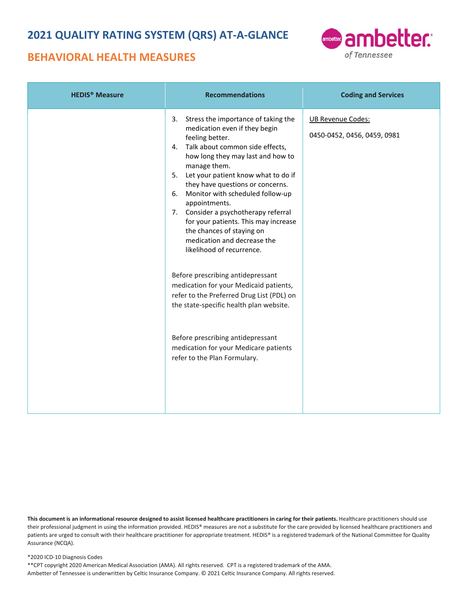## **BEHAVIORAL HEALTH MEASURES**



| <b>HEDIS<sup>®</sup></b> Measure | <b>Recommendations</b>                                                                                                                                                                                                                                                                                                                                                                                                                                                                                                                                                                                                                                                                                                                                                                    | <b>Coding and Services</b>                              |
|----------------------------------|-------------------------------------------------------------------------------------------------------------------------------------------------------------------------------------------------------------------------------------------------------------------------------------------------------------------------------------------------------------------------------------------------------------------------------------------------------------------------------------------------------------------------------------------------------------------------------------------------------------------------------------------------------------------------------------------------------------------------------------------------------------------------------------------|---------------------------------------------------------|
|                                  | 3. Stress the importance of taking the<br>medication even if they begin<br>feeling better.<br>4. Talk about common side effects,<br>how long they may last and how to<br>manage them.<br>5. Let your patient know what to do if<br>they have questions or concerns.<br>6. Monitor with scheduled follow-up<br>appointments.<br>7. Consider a psychotherapy referral<br>for your patients. This may increase<br>the chances of staying on<br>medication and decrease the<br>likelihood of recurrence.<br>Before prescribing antidepressant<br>medication for your Medicaid patients,<br>refer to the Preferred Drug List (PDL) on<br>the state-specific health plan website.<br>Before prescribing antidepressant<br>medication for your Medicare patients<br>refer to the Plan Formulary. | <b>UB Revenue Codes:</b><br>0450-0452, 0456, 0459, 0981 |

This document is an informational resource designed to assist licensed healthcare practitioners in caring for their patients. Healthcare practitioners should use their professional judgment in using the information provided. HEDIS® measures are not a substitute for the care provided by licensed healthcare practitioners and patients are urged to consult with their healthcare practitioner for appropriate treatment. HEDIS® is a registered trademark of the National Committee for Quality Assurance (NCQA).

#### \*2020 ICD-10 Diagnosis Codes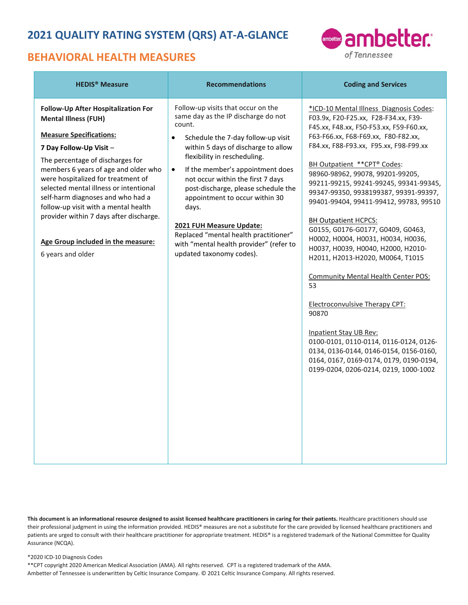## **BEHAVIORAL HEALTH MEASURES**



| <b>HEDIS<sup>®</sup></b> Measure                                                                                                                                                                                                                                                                                                                                                                                                                                               | <b>Recommendations</b>                                                                                                                                                                                                                                                                                                                                                                                                                                                                                                            | <b>Coding and Services</b>                                                                                                                                                                                                                                                                                                                                                                                                                                                                                                                                                                                                                                                                                                                                                                                                                                                                                      |
|--------------------------------------------------------------------------------------------------------------------------------------------------------------------------------------------------------------------------------------------------------------------------------------------------------------------------------------------------------------------------------------------------------------------------------------------------------------------------------|-----------------------------------------------------------------------------------------------------------------------------------------------------------------------------------------------------------------------------------------------------------------------------------------------------------------------------------------------------------------------------------------------------------------------------------------------------------------------------------------------------------------------------------|-----------------------------------------------------------------------------------------------------------------------------------------------------------------------------------------------------------------------------------------------------------------------------------------------------------------------------------------------------------------------------------------------------------------------------------------------------------------------------------------------------------------------------------------------------------------------------------------------------------------------------------------------------------------------------------------------------------------------------------------------------------------------------------------------------------------------------------------------------------------------------------------------------------------|
| Follow-Up After Hospitalization For<br><b>Mental Illness (FUH)</b><br><b>Measure Specifications:</b><br>7 Day Follow-Up Visit -<br>The percentage of discharges for<br>members 6 years of age and older who<br>were hospitalized for treatment of<br>selected mental illness or intentional<br>self-harm diagnoses and who had a<br>follow-up visit with a mental health<br>provider within 7 days after discharge.<br>Age Group included in the measure:<br>6 years and older | Follow-up visits that occur on the<br>same day as the IP discharge do not<br>count.<br>Schedule the 7-day follow-up visit<br>$\bullet$<br>within 5 days of discharge to allow<br>flexibility in rescheduling.<br>If the member's appointment does<br>$\bullet$<br>not occur within the first 7 days<br>post-discharge, please schedule the<br>appointment to occur within 30<br>days.<br>2021 FUH Measure Update:<br>Replaced "mental health practitioner"<br>with "mental health provider" (refer to<br>updated taxonomy codes). | *ICD-10 Mental Illness Diagnosis Codes:<br>F03.9x, F20-F25.xx, F28-F34.xx, F39-<br>F45.xx, F48.xx, F50-F53.xx, F59-F60.xx,<br>F63-F66.xx, F68-F69.xx, F80-F82.xx,<br>F84.xx, F88-F93.xx, F95.xx, F98-F99.xx<br>BH Outpatient ** CPT® Codes:<br>98960-98962, 99078, 99201-99205,<br>99211-99215, 99241-99245, 99341-99345,<br>99347-99350, 9938199387, 99391-99397,<br>99401-99404, 99411-99412, 99783, 99510<br><b>BH Outpatient HCPCS:</b><br>G0155, G0176-G0177, G0409, G0463,<br>Н0002, Н0004, Н0031, Н0034, Н0036,<br>Н0037, Н0039, Н0040, Н2000, Н2010-<br>H2011, H2013-H2020, M0064, T1015<br><b>Community Mental Health Center POS:</b><br>53<br><b>Electroconvulsive Therapy CPT:</b><br>90870<br><b>Inpatient Stay UB Rev:</b><br>0100-0101, 0110-0114, 0116-0124, 0126-<br>0134, 0136-0144, 0146-0154, 0156-0160,<br>0164, 0167, 0169-0174, 0179, 0190-0194,<br>0199-0204, 0206-0214, 0219, 1000-1002 |

This document is an informational resource designed to assist licensed healthcare practitioners in caring for their patients. Healthcare practitioners should use their professional judgment in using the information provided. HEDIS® measures are not a substitute for the care provided by licensed healthcare practitioners and patients are urged to consult with their healthcare practitioner for appropriate treatment. HEDIS® is a registered trademark of the National Committee for Quality Assurance (NCQA).

### \*2020 ICD-10 Diagnosis Codes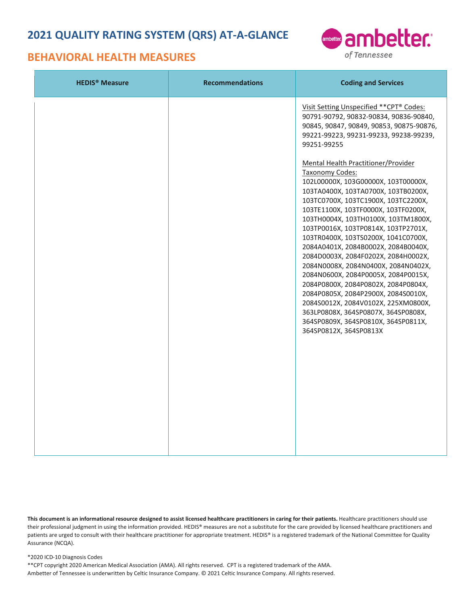## **BEHAVIORAL HEALTH MEASURES**



| <b>HEDIS<sup>®</sup></b> Measure | <b>Recommendations</b> | <b>Coding and Services</b>                                                                                                                                                                                                                                                                                                                                                                                                                                                                                                                                                                                                                                                                                                                                                                                                                                                                                                                |
|----------------------------------|------------------------|-------------------------------------------------------------------------------------------------------------------------------------------------------------------------------------------------------------------------------------------------------------------------------------------------------------------------------------------------------------------------------------------------------------------------------------------------------------------------------------------------------------------------------------------------------------------------------------------------------------------------------------------------------------------------------------------------------------------------------------------------------------------------------------------------------------------------------------------------------------------------------------------------------------------------------------------|
|                                  |                        | Visit Setting Unspecified ** CPT® Codes:<br>90791-90792, 90832-90834, 90836-90840,<br>90845, 90847, 90849, 90853, 90875-90876,<br>99221-99223, 99231-99233, 99238-99239,<br>99251-99255<br><b>Mental Health Practitioner/Provider</b><br><b>Taxonomy Codes:</b><br>102L00000X, 103G00000X, 103T00000X,<br>103TA0400X, 103TA0700X, 103TB0200X,<br>103TC0700X, 103TC1900X, 103TC2200X,<br>103TE1100X, 103TF0000X, 103TF0200X,<br>103TH0004X, 103TH0100X, 103TM1800X,<br>103TP0016X, 103TP0814X, 103TP2701X,<br>103TR0400X, 103TS0200X, 1041C0700X,<br>2084A0401X, 2084B0002X, 2084B0040X,<br>2084D0003X, 2084F0202X, 2084H0002X,<br>2084N0008X, 2084N0400X, 2084N0402X,<br>2084N0600X, 2084P0005X, 2084P0015X,<br>2084P0800X, 2084P0802X, 2084P0804X,<br>2084P0805X, 2084P2900X, 2084S0010X,<br>2084S0012X, 2084V0102X, 225XM0800X,<br>363LP0808X, 364SP0807X, 364SP0808X,<br>364SP0809X, 364SP0810X, 364SP0811X,<br>364SP0812X, 364SP0813X |

This document is an informational resource designed to assist licensed healthcare practitioners in caring for their patients. Healthcare practitioners should use their professional judgment in using the information provided. HEDIS® measures are not a substitute for the care provided by licensed healthcare practitioners and patients are urged to consult with their healthcare practitioner for appropriate treatment. HEDIS® is a registered trademark of the National Committee for Quality Assurance (NCQA).

#### \*2020 ICD-10 Diagnosis Codes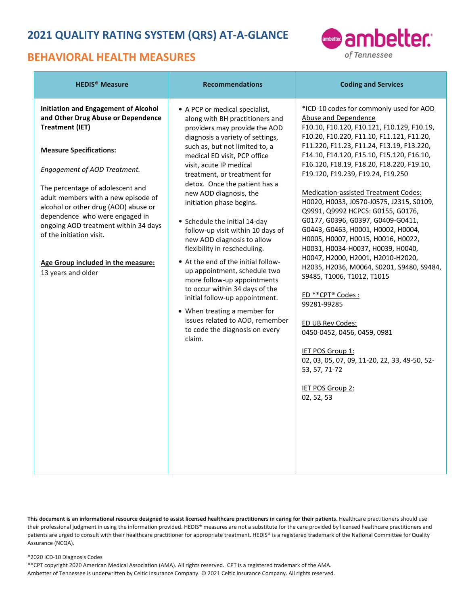## **BEHAVIORAL HEALTH MEASURES**



| <b>HEDIS<sup>®</sup></b> Measure                                                                                                                                                                                                                                                                                                                                                                                                                                   | <b>Recommendations</b>                                                                                                                                                                                                                                                                                                                                                                                                                                                                                                                                                                                                                                                                                                                                                                 | <b>Coding and Services</b>                                                                                                                                                                                                                                                                                                                                                                                                                                                                                                                                                                                                                                                                                                                                                                                                                                                                                                                                          |
|--------------------------------------------------------------------------------------------------------------------------------------------------------------------------------------------------------------------------------------------------------------------------------------------------------------------------------------------------------------------------------------------------------------------------------------------------------------------|----------------------------------------------------------------------------------------------------------------------------------------------------------------------------------------------------------------------------------------------------------------------------------------------------------------------------------------------------------------------------------------------------------------------------------------------------------------------------------------------------------------------------------------------------------------------------------------------------------------------------------------------------------------------------------------------------------------------------------------------------------------------------------------|---------------------------------------------------------------------------------------------------------------------------------------------------------------------------------------------------------------------------------------------------------------------------------------------------------------------------------------------------------------------------------------------------------------------------------------------------------------------------------------------------------------------------------------------------------------------------------------------------------------------------------------------------------------------------------------------------------------------------------------------------------------------------------------------------------------------------------------------------------------------------------------------------------------------------------------------------------------------|
| <b>Initiation and Engagement of Alcohol</b><br>and Other Drug Abuse or Dependence<br><b>Treatment (IET)</b><br><b>Measure Specifications:</b><br>Engagement of AOD Treatment.<br>The percentage of adolescent and<br>adult members with a new episode of<br>alcohol or other drug (AOD) abuse or<br>dependence who were engaged in<br>ongoing AOD treatment within 34 days<br>of the initiation visit.<br>Age Group included in the measure:<br>13 years and older | • A PCP or medical specialist,<br>along with BH practitioners and<br>providers may provide the AOD<br>diagnosis a variety of settings,<br>such as, but not limited to, a<br>medical ED visit, PCP office<br>visit, acute IP medical<br>treatment, or treatment for<br>detox. Once the patient has a<br>new AOD diagnosis, the<br>initiation phase begins.<br>• Schedule the initial 14-day<br>follow-up visit within 10 days of<br>new AOD diagnosis to allow<br>flexibility in rescheduling.<br>• At the end of the initial follow-<br>up appointment, schedule two<br>more follow-up appointments<br>to occur within 34 days of the<br>initial follow-up appointment.<br>• When treating a member for<br>issues related to AOD, remember<br>to code the diagnosis on every<br>claim. | *ICD-10 codes for commonly used for AOD<br>Abuse and Dependence<br>F10.10, F10.120, F10.121, F10.129, F10.19,<br>F10.20, F10.220, F11.10, F11.121, F11.20,<br>F11.220, F11.23, F11.24, F13.19, F13.220,<br>F14.10, F14.120, F15.10, F15.120, F16.10,<br>F16.120, F18.19, F18.20, F18.220, F19.10,<br>F19.120, F19.239, F19.24, F19.250<br>Medication-assisted Treatment Codes:<br>H0020, H0033, J0570-J0575, J2315, S0109,<br>Q9991, Q9992 HCPCS: G0155, G0176,<br>G0177, G0396, G0397, G0409-G0411,<br>G0443, G0463, H0001, H0002, H0004,<br>Н0005, Н0007, Н0015, Н0016, Н0022,<br>H0031, H0034-H0037, H0039, H0040,<br>H0047, H2000, H2001, H2010-H2020,<br>H2035, H2036, M0064, S0201, S9480, S9484,<br>S9485, T1006, T1012, T1015<br>ED ** CPT® Codes :<br>99281-99285<br>ED UB Rev Codes:<br>0450-0452, 0456, 0459, 0981<br><b>IET POS Group 1:</b><br>02, 03, 05, 07, 09, 11-20, 22, 33, 49-50, 52-<br>53, 57, 71-72<br><b>IET POS Group 2:</b><br>02, 52, 53 |

This document is an informational resource designed to assist licensed healthcare practitioners in caring for their patients. Healthcare practitioners should use their professional judgment in using the information provided. HEDIS® measures are not a substitute for the care provided by licensed healthcare practitioners and patients are urged to consult with their healthcare practitioner for appropriate treatment. HEDIS® is a registered trademark of the National Committee for Quality Assurance (NCQA).

\*2020 ICD-10 Diagnosis Codes